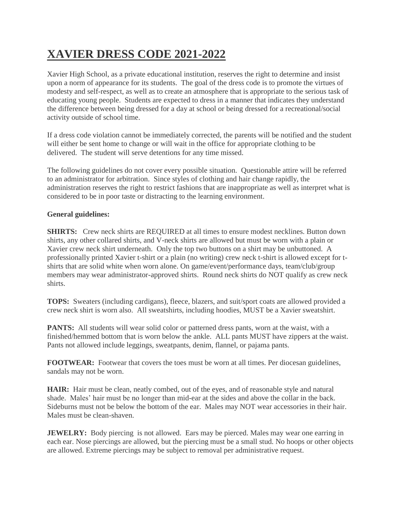## **XAVIER DRESS CODE 2021-2022**

Xavier High School, as a private educational institution, reserves the right to determine and insist upon a norm of appearance for its students. The goal of the dress code is to promote the virtues of modesty and self-respect, as well as to create an atmosphere that is appropriate to the serious task of educating young people. Students are expected to dress in a manner that indicates they understand the difference between being dressed for a day at school or being dressed for a recreational/social activity outside of school time.

If a dress code violation cannot be immediately corrected, the parents will be notified and the student will either be sent home to change or will wait in the office for appropriate clothing to be delivered. The student will serve detentions for any time missed.

The following guidelines do not cover every possible situation. Questionable attire will be referred to an administrator for arbitration. Since styles of clothing and hair change rapidly, the administration reserves the right to restrict fashions that are inappropriate as well as interpret what is considered to be in poor taste or distracting to the learning environment.

## **General guidelines:**

**SHIRTS:** Crew neck shirts are REQUIRED at all times to ensure modest necklines. Button down shirts, any other collared shirts, and V-neck shirts are allowed but must be worn with a plain or Xavier crew neck shirt underneath. Only the top two buttons on a shirt may be unbuttoned. A professionally printed Xavier t-shirt or a plain (no writing) crew neck t-shirt is allowed except for tshirts that are solid white when worn alone. On game/event/performance days, team/club/group members may wear administrator-approved shirts. Round neck shirts do NOT qualify as crew neck shirts.

**TOPS:** Sweaters (including cardigans), fleece, blazers, and suit/sport coats are allowed provided a crew neck shirt is worn also. All sweatshirts, including hoodies, MUST be a Xavier sweatshirt.

**PANTS:** All students will wear solid color or patterned dress pants, worn at the waist, with a finished/hemmed bottom that is worn below the ankle. ALL pants MUST have zippers at the waist. Pants not allowed include leggings, sweatpants, denim, flannel, or pajama pants.

**FOOTWEAR:** Footwear that covers the toes must be worn at all times. Per diocesan guidelines, sandals may not be worn.

**HAIR:** Hair must be clean, neatly combed, out of the eyes, and of reasonable style and natural shade. Males' hair must be no longer than mid-ear at the sides and above the collar in the back. Sideburns must not be below the bottom of the ear. Males may NOT wear accessories in their hair. Males must be clean-shaven.

**JEWELRY:** Body piercing is not allowed. Ears may be pierced. Males may wear one earring in each ear. Nose piercings are allowed, but the piercing must be a small stud. No hoops or other objects are allowed. Extreme piercings may be subject to removal per administrative request.